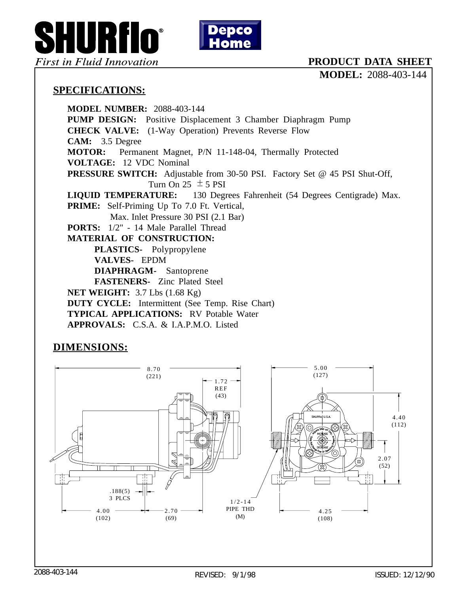

## **PRODUCT DATA SHEET**

**MODEL:** 2088-403-144

## **SPECIFICATIONS:**

**MODEL NUMBER:** 2088-403-144 **PUMP DESIGN:** Positive Displacement 3 Chamber Diaphragm Pump **CHECK VALVE:** (1-Way Operation) Prevents Reverse Flow **CAM:** 3.5 Degree **MOTOR:** Permanent Magnet, P/N 11-148-04, Thermally Protected **VOLTAGE:** 12 VDC Nominal **PRESSURE SWITCH:** Adjustable from 30-50 PSI. Factory Set @ 45 PSI Shut-Off, Turn On 25  $\pm$  5 PSI **LIQUID TEMPERATURE:** 130 Degrees Fahrenheit (54 Degrees Centigrade) Max. **PRIME:** Self-Priming Up To 7.0 Ft. Vertical, Max. Inlet Pressure 30 PSI (2.1 Bar) **PORTS:** 1/2" - 14 Male Parallel Thread **MATERIAL OF CONSTRUCTION: PLASTICS-** Polypropylene **VALVES-** EPDM **DIAPHRAGM-** Santoprene **FASTENERS-** Zinc Plated Steel **NET WEIGHT:** 3.7 Lbs (1.68 Kg) **DUTY CYCLE:** Intermittent (See Temp. Rise Chart) **TYPICAL APPLICATIONS:** RV Potable Water **APPROVALS:** C.S.A. & I.A.P.M.O. Listed

## **DIMENSIONS:**